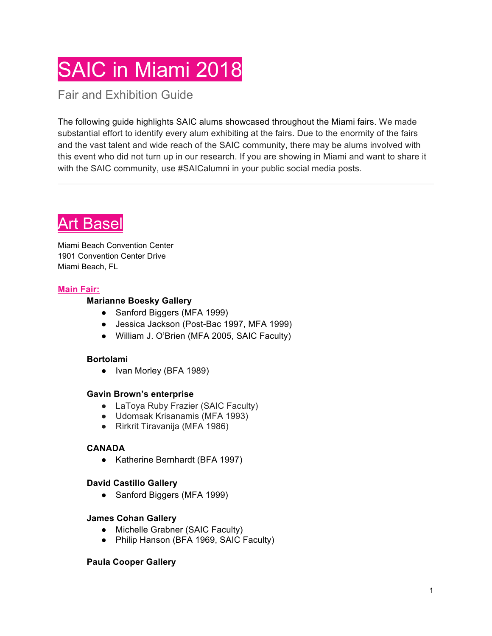# SAIC in Miami 2018

Fair and Exhibition Guide

The following guide highlights SAIC alums showcased throughout the Miami fairs. We made substantial effort to identify every alum exhibiting at the fairs. Due to the enormity of the fairs and the vast talent and wide reach of the SAIC community, there may be alums involved with this event who did not turn up in our research. If you are showing in Miami and want to share it with the SAIC community, use #SAICalumni in your public social media posts.



Miami Beach Convention Center 1901 Convention Center Drive Miami Beach, FL

# **Main Fair:**

# **Marianne Boesky Gallery**

- Sanford Biggers (MFA 1999)
- Jessica Jackson (Post-Bac 1997, MFA 1999)
- William J. O'Brien (MFA 2005, SAIC Faculty)

# **Bortolami**

● Ivan Morley (BFA 1989)

# **Gavin Brown's enterprise**

- LaToya Ruby Frazier (SAIC Faculty)
- Udomsak Krisanamis (MFA 1993)
- Rirkrit Tiravanija (MFA 1986)

# **CANADA**

● Katherine Bernhardt (BFA 1997)

# **David Castillo Gallery**

● Sanford Biggers (MFA 1999)

#### **James Cohan Gallery**

- Michelle Grabner (SAIC Faculty)
- Philip Hanson (BFA 1969, SAIC Faculty)

# **Paula Cooper Gallery**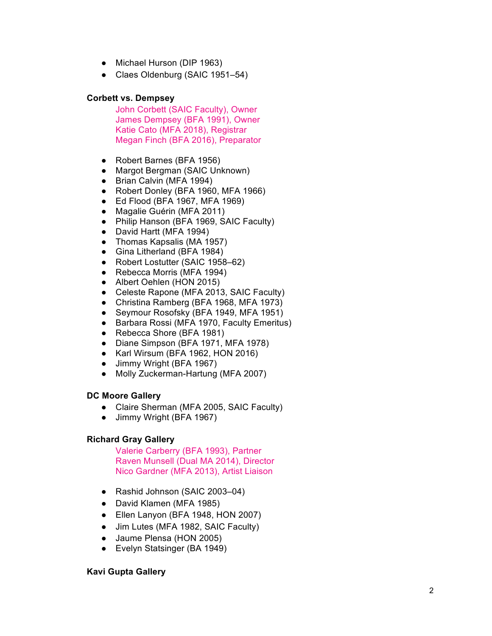- Michael Hurson (DIP 1963)
- Claes Oldenburg (SAIC 1951 –54)

#### **Corbett vs. Dempsey**

John Corbett (SAIC Faculty), Owner James Dempsey (BFA 1991), Owner Katie Cato (MFA 2018), Registrar Megan Finch (BFA 2016), Preparator

- 
- Robert Barnes (BFA 1956)<br>● Margot Bergman (SAIC Unknown)
- Brian Calvin (MFA 1994)
- Robert Donley (BFA 1960, MFA 1966)
- Ed Flood (BFA 1967, MFA 1969)
- Magalie Guérin (MFA 2011)
- Philip Hanson (BFA 1969, SAIC Faculty )
- David Hartt (MFA 1994)
- Thomas Kapsalis (MA 1957)
- Gina Litherland (BFA 1984)
- Robert Lostutter (SAIC 1958–62)
- Rebecca Morris (MFA 1994)
- Albert Oehlen (HON 2015)
- Celeste Rapone (MFA 2013, SAIC Faculty)
- Christina Ramberg (BFA 1968, MFA 1973)
- Seymour Rosofsky (BFA 1949, MFA 1951)
- Barbara Rossi (MFA 1970, Faculty Emeritus )
- Rebecca Shore (BFA 1981)
- Diane Simpson (BFA 1971, MFA 1978)
- Karl Wirsum (BFA 1962, HON 2016)
- Jimmy Wright (BFA 1967)
- Molly Zuckerman-Hartung (MFA 2007)

# **DC Moore Gallery**

- Claire Sherman (MFA 2005, SAIC Faculty)
- Jimmy Wright (BFA 1967)

# **Richard Gray Gallery**

Valerie Carberry (BFA 1993), Partner Raven Munsell (Dual MA 2014), Director Nico Gardner (MFA 2013), Artist Liaison

- Rashid Johnson (SAIC 2003-04)
- David Klamen (MFA 1985)
- Ellen Lanyon (BFA 1948, HON 2007)
- Jim Lutes (MFA 1982, SAIC Faculty)
- Jaume Plensa (HON 2005)
- Evelyn Statsinger (BA 1949)

# **Kavi Gupta Gallery**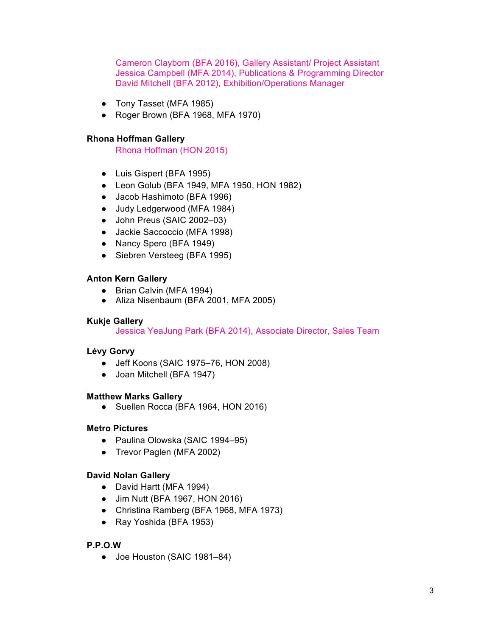Cameron Clayborn (BFA 2016), Gallery Assistant/ Project Assistant Jessica Campbell (MFA 2014), Publications & Programming Director David Mitchell (BFA 2012), Exhibition/Operations Manager

- Tony Tasset (MFA 1985)
- Roger Brown (BFA 1968, MFA 1970)

#### **Rhona Hoffman Gallery**

Rhona Hoffman (HON 2015)

- Luis Gispert (BFA 1995)
- Leon Golub (BFA 1949, MFA 1950, HON 1982)
- Jacob Hashimoto (BFA 1996)
- Judy Ledgerwood (MFA 1984)
- John Preus (SAIC 2002–03)
- Jackie Saccoccio (MFA 1998)
- Nancy Spero (BFA 1949)
- Siebren Versteeg (BFA 1995)

#### **Anton Kern Gallery**

- Brian Calvin (MFA 1994)
- Aliza Nisenbaum (BFA 2001, MFA 2005)

#### **Kukje Gallery**

Jessica YeaJung Park (BFA 2014), Associate Director, Sales Team

# **Lévy Gorvy**

- Jeff Koons (SAIC 1975–76, HON 2008)
- Joan Mitchell (BFA 1947)

#### **Matthew Marks Gallery**

● Suellen Rocca (BFA 1964, HON 2016)

# **Metro Pictures**

- Paulina Olowska (SAIC 1994–95)
- Trevor Paglen (MFA 2002)

# **David Nolan Gallery**

- David Hartt (MFA 1994)
- Jim Nutt (BFA 1967, HON 2016)
- Christina Ramberg (BFA 1968, MFA 1973)
- Ray Yoshida (BFA 1953)

# **P.P.O.W**

● Joe Houston (SAIC 1981–84)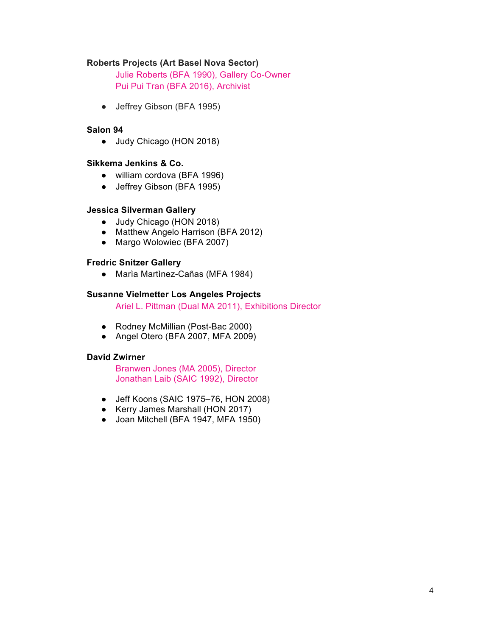#### **Roberts Projects (Art Basel Nova Sector)**

Julie Roberts (BFA 1990), Gallery Co-Owner Pui Pui Tran (BFA 2016), Archivist

• Jeffrey Gibson (BFA 1995)

#### **Salon 94**

● Judy Chicago (HON 2018)

#### **Sikkema Jenkins & Co.**

- william cordova (BFA 1996)
- Jeffrey Gibson (BFA 1995)

#### **Jessica Silverman Gallery**

- Judy Chicago (HON 2018)
- Matthew Angelo Harrison (BFA 2012)
- Margo Wolowiec (BFA 2007)

#### **Fredric Snitzer Gallery**

● Marìa Martìnez-Cañas (MFA 1984)

#### **Susanne Vielmetter Los Angeles Projects**

Ariel L. Pittman (Dual MA 2011), Exhibitions Director

- Rodney McMillian (Post-Bac 2000)
- Angel Otero (BFA 2007, MFA 2009)

#### **David Zwirner**

Branwen Jones (MA 2005), Director Jonathan Laib (SAIC 1992), Director

- Jeff Koons (SAIC 1975–76, HON 2008)
- Kerry James Marshall (HON 2017)
- Joan Mitchell (BFA 1947, MFA 1950)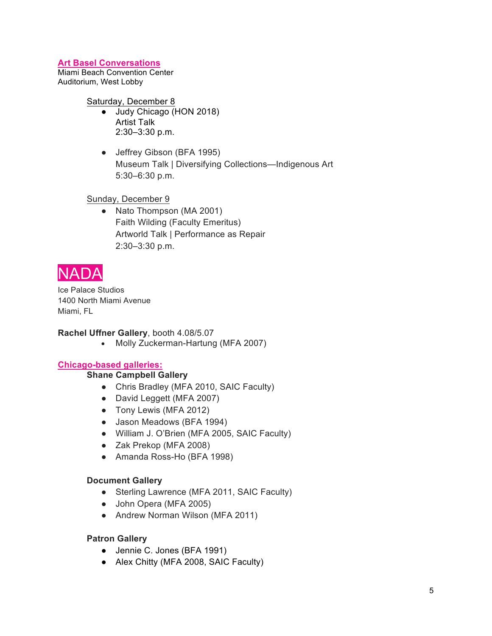# **Art Basel Conversations**

Miami Beach Convention Center Auditorium, West Lobby

Saturday, December 8

- Judy Chicago (HON 2018) Artist Talk 2:30–3:30 p.m.
- Jeffrey Gibson (BFA 1995) Museum Talk | Diversifying Collections—Indigenous Art 5:30–6:30 p.m.

Sunday, December 9

• Nato Thompson (MA 2001) Faith Wilding (Faculty Emeritus) Artworld Talk | Performance as Repair 2:30–3:30 p.m.



Ice Palace Studios 1400 North Miami Avenue Miami, FL

# **Rachel Uffner Gallery**, booth 4.08/5.07

• Molly Zuckerman-Hartung (MFA 2007)

# **Chicago-based galleries:**

# **Shane Campbell Gallery**

- Chris Bradley (MFA 2010, SAIC Faculty)
- David Leggett (MFA 2007)
- Tony Lewis (MFA 2012)
- Jason Meadows (BFA 1994)
- William J. O'Brien (MFA 2005, SAIC Faculty)
- Zak Prekop (MFA 2008)
- Amanda Ross-Ho (BFA 1998)

# **Document Gallery**

- Sterling Lawrence (MFA 2011, SAIC Faculty)
- John Opera (MFA 2005)
- Andrew Norman Wilson (MFA 2011)

# **Patron Gallery**

- Jennie C. Jones (BFA 1991)
- Alex Chitty (MFA 2008, SAIC Faculty)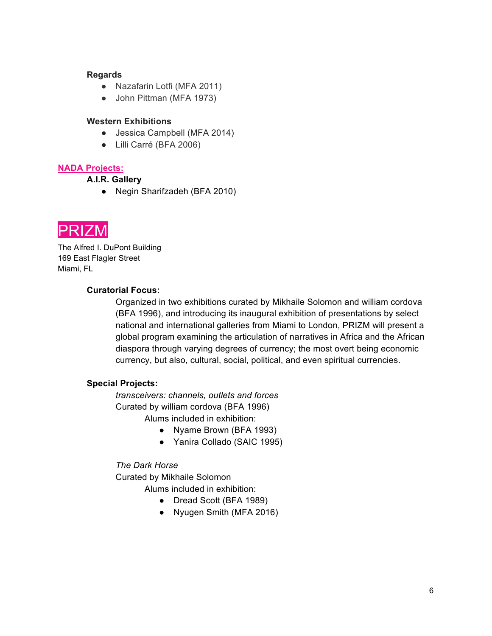#### **Regards**

- Nazafarin Lotfi (MFA 2011)
- John Pittman (MFA 1973)

#### **Western Exhibitions**

- Jessica Campbell (MFA 2014)
- Lilli Carré (BFA 2006)

# **NADA Projects:**

# **A.I.R. Gallery**

● Negin Sharifzadeh (BFA 2010)



The Alfred I. DuPont Building 169 East Flagler Street Miami, FL

# **Curatorial Focus:**

Organized in two exhibitions curated by Mikhaile Solomon and william cordova (BFA 1996), and introducing its inaugural exhibition of presentations by select national and international galleries from Miami to London, PRIZM will present a global program examining the articulation of narratives in Africa and the African diaspora through varying degrees of currency; the most overt being economic currency, but also, cultural, social, political, and even spiritual currencies.

# **Special Projects:**

*transceivers: channels, outlets and forces* Curated by william cordova (BFA 1996) Alums included in exhibition:

- Nyame Brown (BFA 1993)
- Yanira Collado (SAIC 1995)

# *The Dark Horse*

Curated by Mikhaile Solomon

#### Alums included in exhibition:

- Dread Scott (BFA 1989)
- Nyugen Smith (MFA 2016)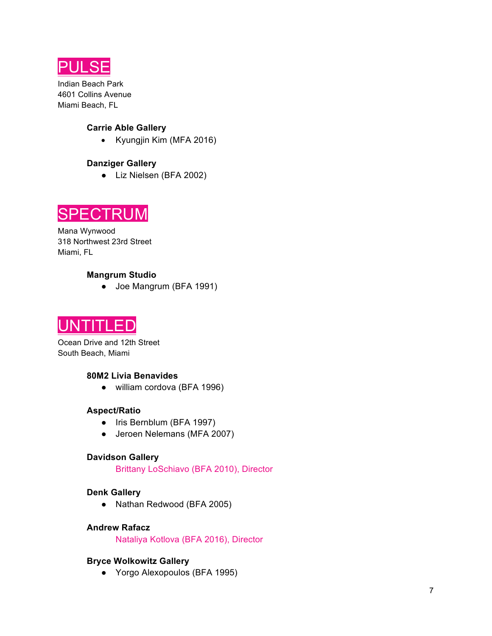

Indian Beach Park 4601 Collins Avenue Miami Beach, FL

# **Carrie Able Gallery**

• Kyungjin Kim (MFA 2016)

# **Danziger Gallery**

● Liz Nielsen (BFA 2002)



Mana Wynwood 318 Northwest 23rd Street Miami, FL

# **Mangrum Studio**

● Joe Mangrum (BFA 1991)



Ocean Drive and 12th Street South Beach, Miami

#### **80M2 Livia Benavides**

● william cordova (BFA 1996)

#### **Aspect/Ratio**

- Iris Bernblum (BFA 1997)
- Jeroen Nelemans (MFA 2007)

# **Davidson Gallery**

Brittany LoSchiavo (BFA 2010), Director

#### **Denk Gallery**

● Nathan Redwood (BFA 2005)

#### **Andrew Rafacz**

Nataliya Kotlova (BFA 2016), Director

# **Bryce Wolkowitz Gallery**

● Yorgo Alexopoulos (BFA 1995)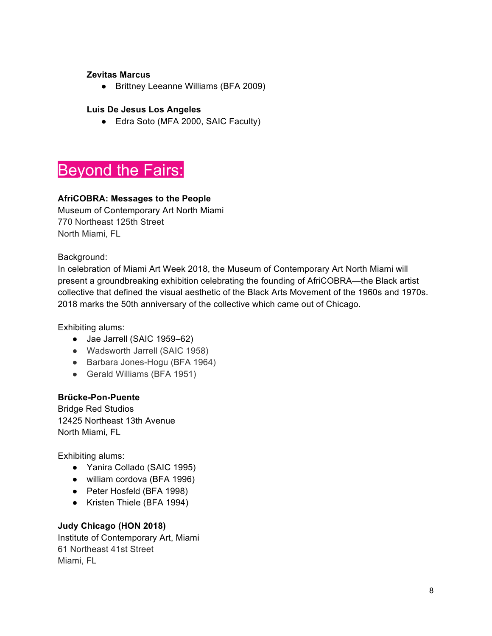# **Zevitas Marcus**

● Brittney Leeanne Williams (BFA 2009)

# **Luis De Jesus Los Angeles**

● Edra Soto (MFA 2000, SAIC Faculty)

# Beyond the Fairs:

# **AfriCOBRA: Messages to the People**

Museum of Contemporary Art North Miami 770 Northeast 125th Street North Miami, FL

Background:

In celebration of Miami Art Week 2018, the Museum of Contemporary Art North Miami will present a groundbreaking exhibition celebrating the founding of AfriCOBRA—the Black artist collective that defined the visual aesthetic of the Black Arts Movement of the 1960s and 1970s. 2018 marks the 50th anniversary of the collective which came out of Chicago.

Exhibiting alums:

- Jae Jarrell (SAIC 1959–62)
- Wadsworth Jarrell (SAIC 1958)
- Barbara Jones-Hogu (BFA 1964)
- Gerald Williams (BFA 1951)

# **Brücke-Pon-Puente**

Bridge Red Studios 12425 Northeast 13th Avenue North Miami, FL

Exhibiting alums:

- Yanira Collado (SAIC 1995)
- william cordova (BFA 1996)
- Peter Hosfeld (BFA 1998)
- Kristen Thiele (BFA 1994)

# **Judy Chicago (HON 2018)**

Institute of Contemporary Art, Miami 61 Northeast 41st Street Miami, FL